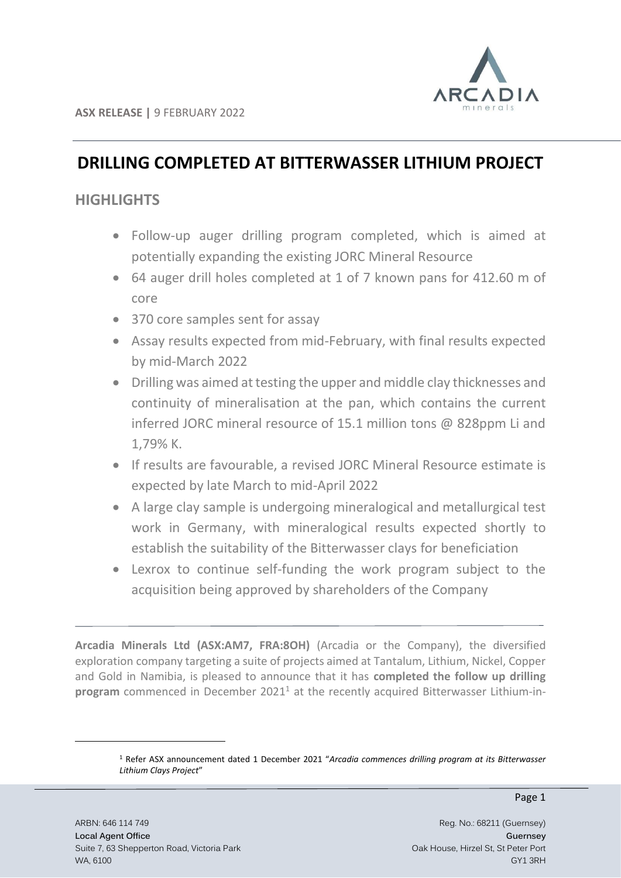

# **DRILLING COMPLETED AT BITTERWASSER LITHIUM PROJECT**

# **HIGHLIGHTS**

- Follow-up auger drilling program completed, which is aimed at potentially expanding the existing JORC Mineral Resource
- 64 auger drill holes completed at 1 of 7 known pans for 412.60 m of core
- 370 core samples sent for assay
- Assay results expected from mid-February, with final results expected by mid-March 2022
- Drilling was aimed at testing the upper and middle clay thicknesses and continuity of mineralisation at the pan, which contains the current inferred JORC mineral resource of 15.1 million tons @ 828ppm Li and 1,79% K.
- If results are favourable, a revised JORC Mineral Resource estimate is expected by late March to mid-April 2022
- A large clay sample is undergoing mineralogical and metallurgical test work in Germany, with mineralogical results expected shortly to establish the suitability of the Bitterwasser clays for beneficiation
- Lexrox to continue self-funding the work program subject to the acquisition being approved by shareholders of the Company

**Arcadia Minerals Ltd (ASX:AM7, FRA:8OH)** (Arcadia or the Company), the diversified exploration company targeting a suite of projects aimed at Tantalum, Lithium, Nickel, Copper and Gold in Namibia, is pleased to announce that it has **completed the follow up drilling**  program commenced in December 2021<sup>1</sup> at the recently acquired Bitterwasser Lithium-in-

<sup>1</sup> Refer ASX announcement dated 1 December 2021 "*Arcadia commences drilling program at its Bitterwasser Lithium Clays Project*"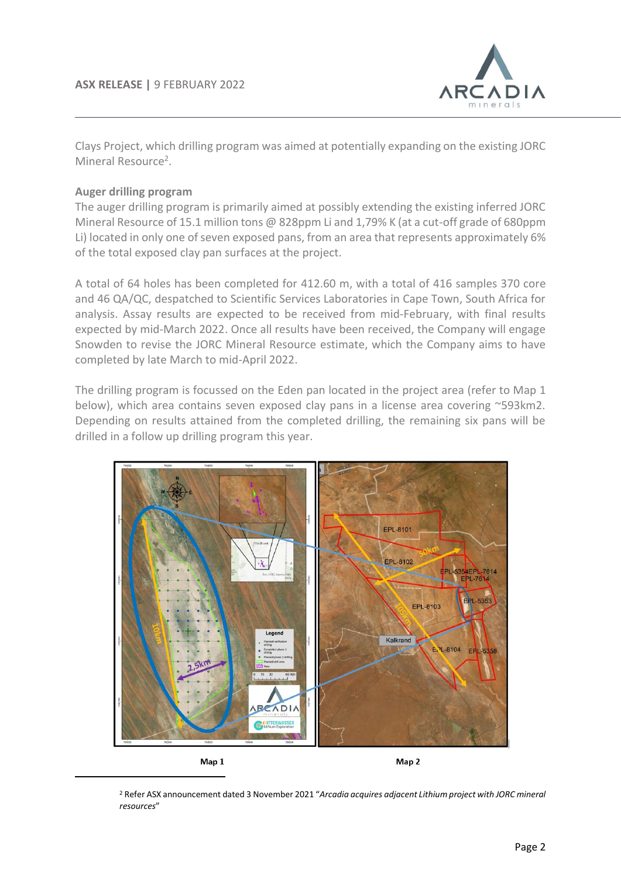

Clays Project, which drilling program was aimed at potentially expanding on the existing JORC Mineral Resource<sup>2</sup>.

# **Auger drilling program**

The auger drilling program is primarily aimed at possibly extending the existing inferred JORC Mineral Resource of 15.1 million tons @ 828ppm Li and 1,79% K (at a cut-off grade of 680ppm Li) located in only one of seven exposed pans, from an area that represents approximately 6% of the total exposed clay pan surfaces at the project.

A total of 64 holes has been completed for 412.60 m, with a total of 416 samples 370 core and 46 QA/QC, despatched to Scientific Services Laboratories in Cape Town, South Africa for analysis. Assay results are expected to be received from mid-February, with final results expected by mid-March 2022. Once all results have been received, the Company will engage Snowden to revise the JORC Mineral Resource estimate, which the Company aims to have completed by late March to mid-April 2022.

The drilling program is focussed on the Eden pan located in the project area (refer to Map 1 below), which area contains seven exposed clay pans in a license area covering ~593km2. Depending on results attained from the completed drilling, the remaining six pans will be drilled in a follow up drilling program this year.



<sup>2</sup> Refer ASX announcement dated 3 November 2021 "*Arcadia acquires adjacent Lithium project with JORC mineral resources*"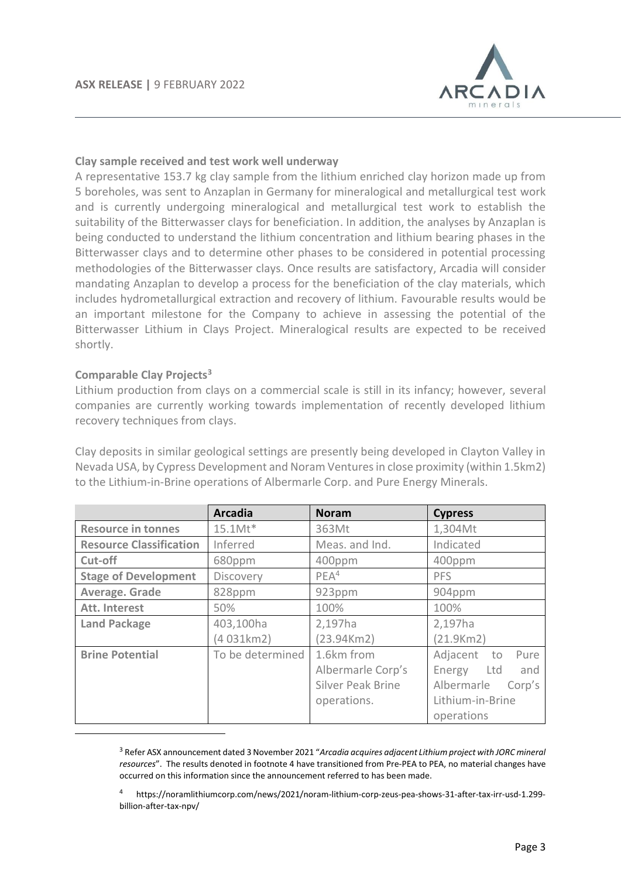

#### **Clay sample received and test work well underway**

A representative 153.7 kg clay sample from the lithium enriched clay horizon made up from 5 boreholes, was sent to Anzaplan in Germany for mineralogical and metallurgical test work and is currently undergoing mineralogical and metallurgical test work to establish the suitability of the Bitterwasser clays for beneficiation. In addition, the analyses by Anzaplan is being conducted to understand the lithium concentration and lithium bearing phases in the Bitterwasser clays and to determine other phases to be considered in potential processing methodologies of the Bitterwasser clays. Once results are satisfactory, Arcadia will consider mandating Anzaplan to develop a process for the beneficiation of the clay materials, which includes hydrometallurgical extraction and recovery of lithium. Favourable results would be an important milestone for the Company to achieve in assessing the potential of the Bitterwasser Lithium in Clays Project. Mineralogical results are expected to be received shortly.

# **Comparable Clay Projects<sup>3</sup>**

Lithium production from clays on a commercial scale is still in its infancy; however, several companies are currently working towards implementation of recently developed lithium recovery techniques from clays.

Clay deposits in similar geological settings are presently being developed in Clayton Valley in Nevada USA, by Cypress Development and Noram Ventures in close proximity (within 1.5km2) to the Lithium-in-Brine operations of Albermarle Corp. and Pure Energy Minerals.

|                                | <b>Arcadia</b>   | <b>Noram</b>             | <b>Cypress</b>       |  |
|--------------------------------|------------------|--------------------------|----------------------|--|
| <b>Resource in tonnes</b>      | $15.1$ Mt $*$    | 363Mt                    | 1,304Mt              |  |
| <b>Resource Classification</b> | Inferred         | Meas. and Ind.           | Indicated            |  |
| Cut-off                        | 680ppm           | 400ppm                   | 400ppm               |  |
| <b>Stage of Development</b>    | Discovery        | PEA <sup>4</sup>         | <b>PFS</b>           |  |
| Average. Grade                 | 828ppm           | 923ppm                   | 904ppm               |  |
| Att. Interest                  | 50%              | 100%                     | 100%                 |  |
| <b>Land Package</b>            | 403,100ha        | 2,197ha                  | 2,197ha              |  |
|                                | (4 031km2)       | (23.94Km2)               | (21.9Km2)            |  |
| <b>Brine Potential</b>         | To be determined | 1.6km from               | Adjacent to<br>Pure  |  |
|                                |                  | Albermarle Corp's        | Energy Ltd<br>and    |  |
|                                |                  | <b>Silver Peak Brine</b> | Albermarle<br>Corp's |  |
|                                |                  | operations.              | Lithium-in-Brine     |  |
|                                |                  |                          | operations           |  |

<sup>3</sup> Refer ASX announcement dated 3 November 2021 "*Arcadia acquires adjacent Lithium project with JORC mineral resources*". The results denoted in footnote 4 have transitioned from Pre-PEA to PEA, no material changes have occurred on this information since the announcement referred to has been made.

<sup>4</sup> https://noramlithiumcorp.com/news/2021/noram-lithium-corp-zeus-pea-shows-31-after-tax-irr-usd-1.299 billion-after-tax-npv/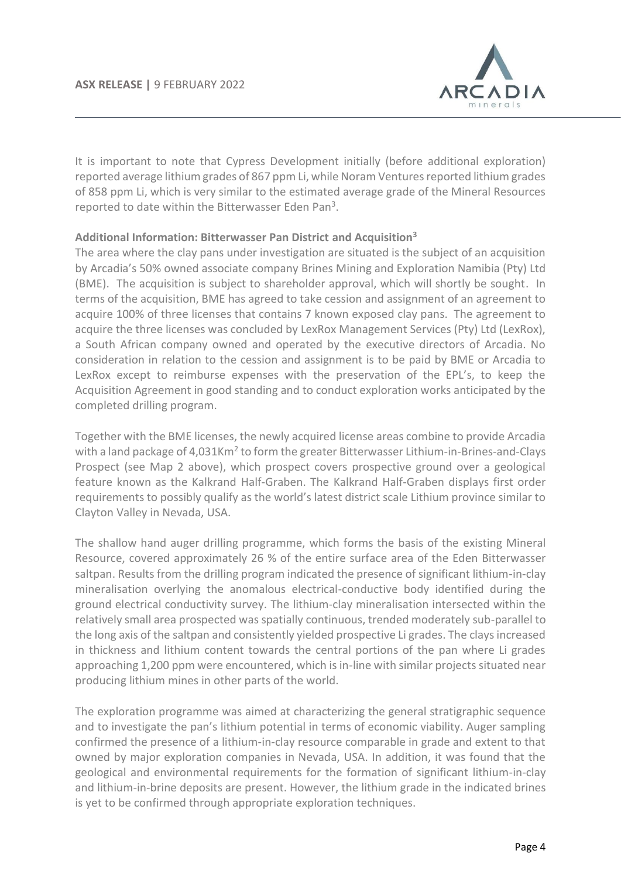

It is important to note that Cypress Development initially (before additional exploration) reported average lithium grades of 867 ppm Li, while Noram Ventures reported lithium grades of 858 ppm Li, which is very similar to the estimated average grade of the Mineral Resources reported to date within the Bitterwasser Eden Pan<sup>3</sup>.

# **Additional Information: Bitterwasser Pan District and Acquisition<sup>3</sup>**

The area where the clay pans under investigation are situated is the subject of an acquisition by Arcadia's 50% owned associate company Brines Mining and Exploration Namibia (Pty) Ltd (BME). The acquisition is subject to shareholder approval, which will shortly be sought. In terms of the acquisition, BME has agreed to take cession and assignment of an agreement to acquire 100% of three licenses that contains 7 known exposed clay pans. The agreement to acquire the three licenses was concluded by LexRox Management Services (Pty) Ltd (LexRox), a South African company owned and operated by the executive directors of Arcadia. No consideration in relation to the cession and assignment is to be paid by BME or Arcadia to LexRox except to reimburse expenses with the preservation of the EPL's, to keep the Acquisition Agreement in good standing and to conduct exploration works anticipated by the completed drilling program.

Together with the BME licenses, the newly acquired license areas combine to provide Arcadia with a land package of 4,031Km<sup>2</sup> to form the greater Bitterwasser Lithium-in-Brines-and-Clays Prospect (see Map 2 above), which prospect covers prospective ground over a geological feature known as the Kalkrand Half-Graben. The Kalkrand Half-Graben displays first order requirements to possibly qualify as the world's latest district scale Lithium province similar to Clayton Valley in Nevada, USA.

The shallow hand auger drilling programme, which forms the basis of the existing Mineral Resource, covered approximately 26 % of the entire surface area of the Eden Bitterwasser saltpan. Results from the drilling program indicated the presence of significant lithium-in-clay mineralisation overlying the anomalous electrical-conductive body identified during the ground electrical conductivity survey. The lithium-clay mineralisation intersected within the relatively small area prospected was spatially continuous, trended moderately sub-parallel to the long axis of the saltpan and consistently yielded prospective Li grades. The clays increased in thickness and lithium content towards the central portions of the pan where Li grades approaching 1,200 ppm were encountered, which is in-line with similar projects situated near producing lithium mines in other parts of the world.

The exploration programme was aimed at characterizing the general stratigraphic sequence and to investigate the pan's lithium potential in terms of economic viability. Auger sampling confirmed the presence of a lithium-in-clay resource comparable in grade and extent to that owned by major exploration companies in Nevada, USA. In addition, it was found that the geological and environmental requirements for the formation of significant lithium-in-clay and lithium-in-brine deposits are present. However, the lithium grade in the indicated brines is yet to be confirmed through appropriate exploration techniques.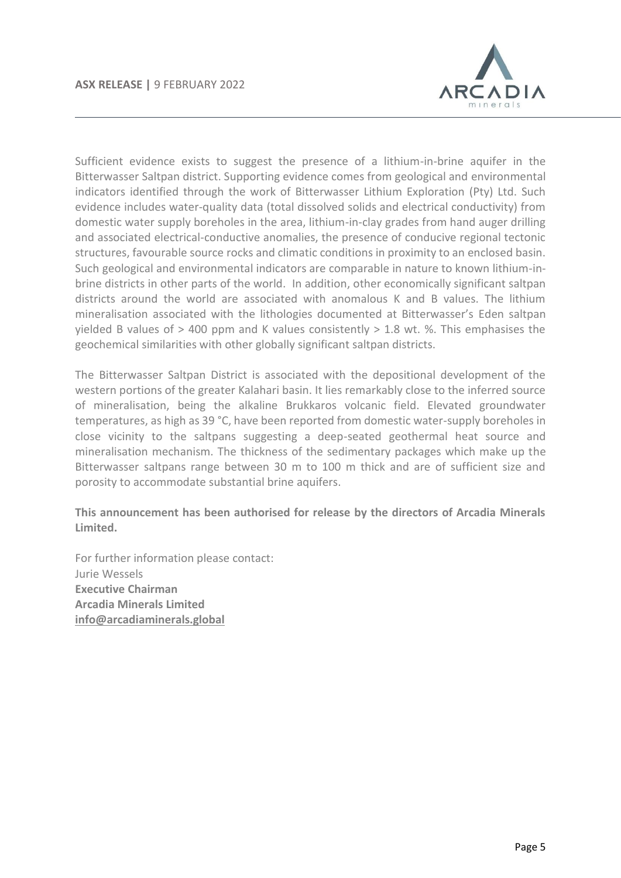

Sufficient evidence exists to suggest the presence of a lithium-in-brine aquifer in the Bitterwasser Saltpan district. Supporting evidence comes from geological and environmental indicators identified through the work of Bitterwasser Lithium Exploration (Pty) Ltd. Such evidence includes water-quality data (total dissolved solids and electrical conductivity) from domestic water supply boreholes in the area, lithium-in-clay grades from hand auger drilling and associated electrical-conductive anomalies, the presence of conducive regional tectonic structures, favourable source rocks and climatic conditions in proximity to an enclosed basin. Such geological and environmental indicators are comparable in nature to known lithium-inbrine districts in other parts of the world. In addition, other economically significant saltpan districts around the world are associated with anomalous K and B values. The lithium mineralisation associated with the lithologies documented at Bitterwasser's Eden saltpan yielded B values of  $>$  400 ppm and K values consistently  $>$  1.8 wt. %. This emphasises the geochemical similarities with other globally significant saltpan districts.

The Bitterwasser Saltpan District is associated with the depositional development of the western portions of the greater Kalahari basin. It lies remarkably close to the inferred source of mineralisation, being the alkaline Brukkaros volcanic field. Elevated groundwater temperatures, as high as 39 °C, have been reported from domestic water-supply boreholes in close vicinity to the saltpans suggesting a deep-seated geothermal heat source and mineralisation mechanism. The thickness of the sedimentary packages which make up the Bitterwasser saltpans range between 30 m to 100 m thick and are of sufficient size and porosity to accommodate substantial brine aquifers.

# **This announcement has been authorised for release by the directors of Arcadia Minerals Limited.**

For further information please contact: Jurie Wessels **Executive Chairman Arcadia Minerals Limited [info@arcadiaminerals.global](mailto:info@arcadiaminerals.global)**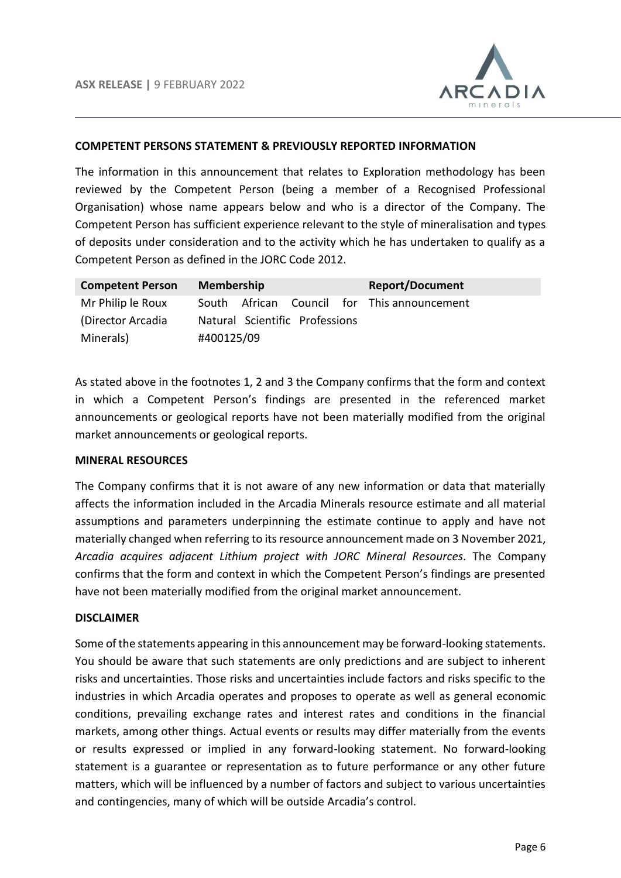

#### **COMPETENT PERSONS STATEMENT & PREVIOUSLY REPORTED INFORMATION**

The information in this announcement that relates to Exploration methodology has been reviewed by the Competent Person (being a member of a Recognised Professional Organisation) whose name appears below and who is a director of the Company. The Competent Person has sufficient experience relevant to the style of mineralisation and types of deposits under consideration and to the activity which he has undertaken to qualify as a Competent Person as defined in the JORC Code 2012.

| <b>Competent Person</b> | <b>Membership</b>                           | <b>Report/Document</b> |
|-------------------------|---------------------------------------------|------------------------|
| Mr Philip le Roux       | South African Council for This announcement |                        |
| (Director Arcadia       | Natural Scientific Professions              |                        |
| Minerals)               | #400125/09                                  |                        |

As stated above in the footnotes 1, 2 and 3 the Company confirms that the form and context in which a Competent Person's findings are presented in the referenced market announcements or geological reports have not been materially modified from the original market announcements or geological reports.

#### **MINERAL RESOURCES**

The Company confirms that it is not aware of any new information or data that materially affects the information included in the Arcadia Minerals resource estimate and all material assumptions and parameters underpinning the estimate continue to apply and have not materially changed when referring to its resource announcement made on 3 November 2021, *Arcadia acquires adjacent Lithium project with JORC Mineral Resources*. The Company confirms that the form and context in which the Competent Person's findings are presented have not been materially modified from the original market announcement.

# **DISCLAIMER**

Some of the statements appearing in this announcement may be forward-looking statements. You should be aware that such statements are only predictions and are subject to inherent risks and uncertainties. Those risks and uncertainties include factors and risks specific to the industries in which Arcadia operates and proposes to operate as well as general economic conditions, prevailing exchange rates and interest rates and conditions in the financial markets, among other things. Actual events or results may differ materially from the events or results expressed or implied in any forward-looking statement. No forward-looking statement is a guarantee or representation as to future performance or any other future matters, which will be influenced by a number of factors and subject to various uncertainties and contingencies, many of which will be outside Arcadia's control.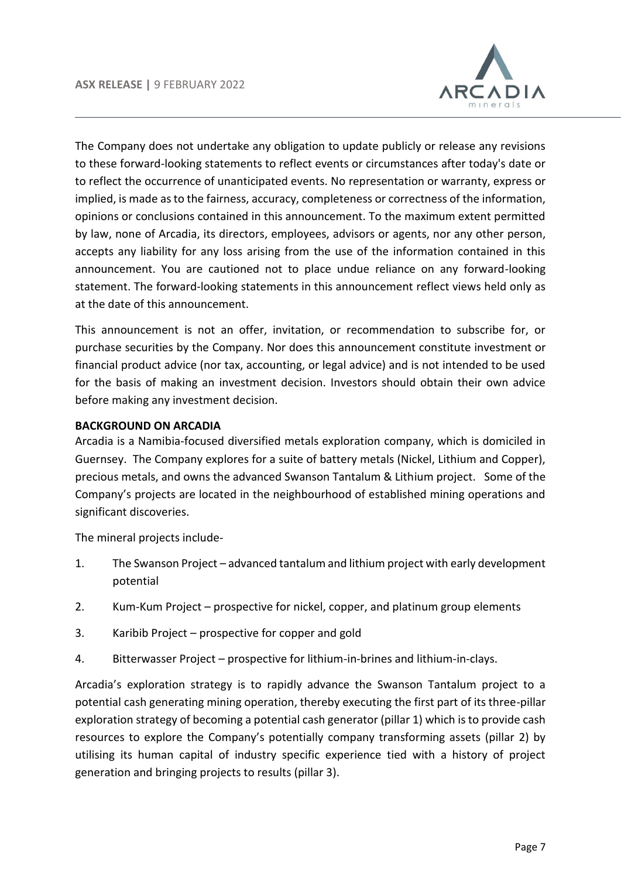

The Company does not undertake any obligation to update publicly or release any revisions to these forward-looking statements to reflect events or circumstances after today's date or to reflect the occurrence of unanticipated events. No representation or warranty, express or implied, is made as to the fairness, accuracy, completeness or correctness of the information, opinions or conclusions contained in this announcement. To the maximum extent permitted by law, none of Arcadia, its directors, employees, advisors or agents, nor any other person, accepts any liability for any loss arising from the use of the information contained in this announcement. You are cautioned not to place undue reliance on any forward-looking statement. The forward-looking statements in this announcement reflect views held only as at the date of this announcement.

This announcement is not an offer, invitation, or recommendation to subscribe for, or purchase securities by the Company. Nor does this announcement constitute investment or financial product advice (nor tax, accounting, or legal advice) and is not intended to be used for the basis of making an investment decision. Investors should obtain their own advice before making any investment decision.

# **BACKGROUND ON ARCADIA**

Arcadia is a Namibia-focused diversified metals exploration company, which is domiciled in Guernsey. The Company explores for a suite of battery metals (Nickel, Lithium and Copper), precious metals, and owns the advanced Swanson Tantalum & Lithium project. Some of the Company's projects are located in the neighbourhood of established mining operations and significant discoveries.

The mineral projects include-

- 1. The Swanson Project advanced tantalum and lithium project with early development potential
- 2. Kum-Kum Project prospective for nickel, copper, and platinum group elements
- 3. Karibib Project prospective for copper and gold
- 4. Bitterwasser Project prospective for lithium-in-brines and lithium-in-clays.

Arcadia's exploration strategy is to rapidly advance the Swanson Tantalum project to a potential cash generating mining operation, thereby executing the first part of its three-pillar exploration strategy of becoming a potential cash generator (pillar 1) which is to provide cash resources to explore the Company's potentially company transforming assets (pillar 2) by utilising its human capital of industry specific experience tied with a history of project generation and bringing projects to results (pillar 3).